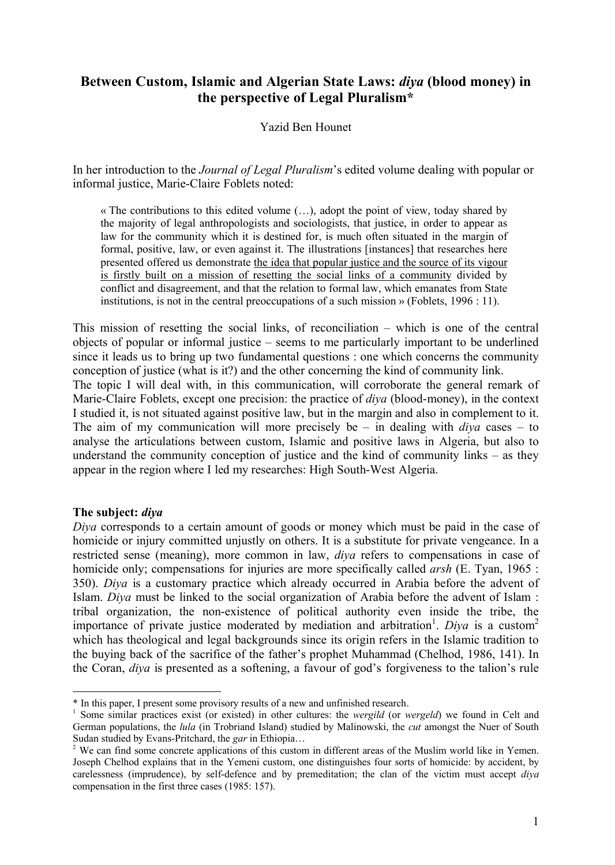# **Between Custom, Islamic and Algerian State Laws:** *diya* **(blood money) in the perspective of Legal Pluralism\***

# Yazid Ben Hounet

In her introduction to the *Journal of Legal Pluralism*'s edited volume dealing with popular or informal justice, Marie-Claire Foblets noted:

 $\ll$  The contributions to this edited volume  $(\ldots)$ , adopt the point of view, today shared by the majority of legal anthropologists and sociologists, that justice, in order to appear as law for the community which it is destined for, is much often situated in the margin of formal, positive, law, or even against it. The illustrations [instances] that researches here presented offered us demonstrate the idea that popular justice and the source of its vigour is firstly built on a mission of resetting the social links of a community divided by conflict and disagreement, and that the relation to formal law, which emanates from State institutions, is not in the central preoccupations of a such mission  $\mathcal{P}$  (Foblets, 1996 : 11).

This mission of resetting the social links, of reconciliation – which is one of the central objects of popular or informal justice – seems to me particularly important to be underlined since it leads us to bring up two fundamental questions : one which concerns the community conception of justice (what is it?) and the other concerning the kind of community link. The topic I will deal with, in this communication, will corroborate the general remark of Marie-Claire Foblets, except one precision: the practice of *diya* (blood-money), in the context I studied it, is not situated against positive law, but in the margin and also in complement to it. The aim of my communication will more precisely be – in dealing with *diya* cases – to analyse the articulations between custom, Islamic and positive laws in Algeria, but also to understand the community conception of justice and the kind of community links – as they appear in the region where I led my researches: High South-West Algeria.

### **The subject:** *diya*

*Diya* corresponds to a certain amount of goods or money which must be paid in the case of homicide or injury committed unjustly on others. It is a substitute for private vengeance. In a restricted sense (meaning), more common in law, *diya* refers to compensations in case of homicide only; compensations for injuries are more specifically called *arsh* (E. Tyan, 1965 : 350). *Diya* is a customary practice which already occurred in Arabia before the advent of Islam. *Diya* must be linked to the social organization of Arabia before the advent of Islam : tribal organization, the non-existence of political authority even inside the tribe, the importance of private justice moderated by mediation and arbitration<sup>1</sup>. Diya is a custom<sup>2</sup> which has theological and legal backgrounds since its origin refers in the Islamic tradition to the buying back of the sacrifice of the father's prophet Muhammad (Chelhod, 1986, 141). In the Coran, *diya* is presented as a softening, a favour of god's forgiveness to the talion's rule

<sup>\*</sup> In this paper, I present some provisory results of a new and unfinished research.

<sup>&</sup>lt;sup>1</sup> Some similar practices exist (or existed) in other cultures: the *wergild* (or *wergeld*) we found in Celt and German populations, the *lula* (in Trobriand Island) studied by Malinowski, the *cut* amongst the Nuer of South Sudan studied by Evans-Pritchard, the *ear* in Ethiopia...

<sup>&</sup>lt;sup>2</sup> We can find some concrete applications of this custom in different areas of the Muslim world like in Yemen. Joseph Chelhod explains that in the Yemeni custom, one distinguishes four sorts of homicide: by accident, by carelessness (imprudence), by self-defence and by premeditation; the clan of the victim must accept *diya* compensation in the first three cases (1985: 157).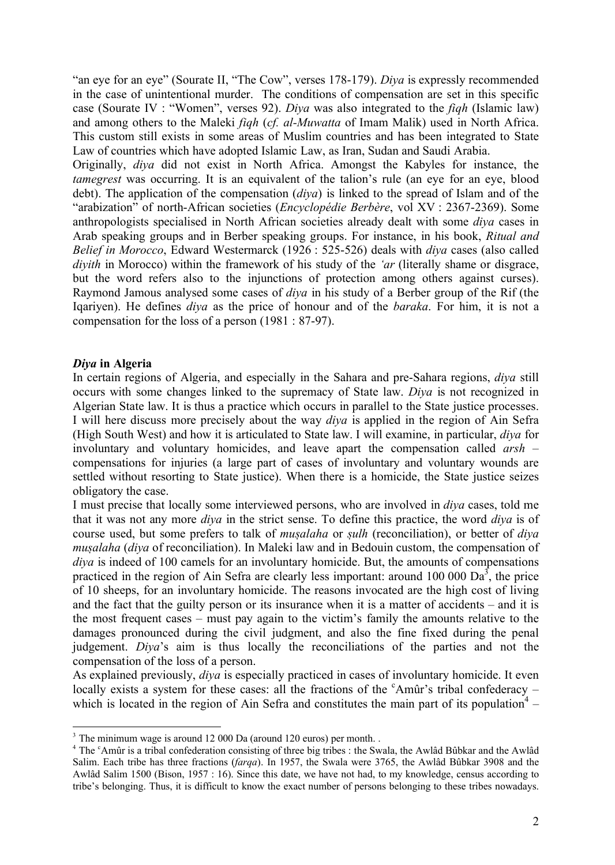"an eye for an eye" (Sourate II, "The Cow", verses 178-179). *Diya* is expressly recommended in the case of unintentional murder. The conditions of compensation are set in this specific case (Sourate IV : "Women", verses 92). *Diya* was also integrated to the *fiqh* (Islamic law) and among others to the Maleki *fiqh* (*cf. al-Muwatta* of Imam Malik) used in North Africa. This custom still exists in some areas of Muslim countries and has been integrated to State Law of countries which have adopted Islamic Law, as Iran, Sudan and Saudi Arabia.

Originally, *diya* did not exist in North Africa. Amongst the Kabyles for instance, the *tamegrest* was occurring. It is an equivalent of the talion's rule (an eye for an eye, blood debt). The application of the compensation (*diya*) is linked to the spread of Islam and of the "arabization" of north-African societies (*Encyclopédie Berbère*, vol XV : 2367-2369). Some anthropologists specialised in North African societies already dealt with some *diya* cases in Arab speaking groups and in Berber speaking groups. For instance, in his book, *Ritual and Belief in Morocco*, Edward Westermarck (1926 : 525-526) deals with *diya* cases (also called *diyith* in Morocco) within the framework of his study of the *'ar* (literally shame or disgrace, but the word refers also to the injunctions of protection among others against curses). Raymond Jamous analysed some cases of *diya* in his study of a Berber group of the Rif (the Iqariyen). He defines *diya* as the price of honour and of the *baraka*. For him, it is not a compensation for the loss of a person (1981 : 87-97).

# *Diya* **in Algeria**

In certain regions of Algeria, and especially in the Sahara and pre-Sahara regions, *diya* still occurs with some changes linked to the supremacy of State law. *Diya* is not recognized in Algerian State law. It is thus a practice which occurs in parallel to the State justice processes. I will here discuss more precisely about the way *diya* is applied in the region of Ain Sefra (High South West) and how it is articulated to State law. I will examine, in particular, *diya* for involuntary and voluntary homicides, and leave apart the compensation called *arsh* – compensations for injuries (a large part of cases of involuntary and voluntary wounds are settled without resorting to State justice). When there is a homicide, the State justice seizes obligatory the case.

I must precise that locally some interviewed persons, who are involved in *diya* cases, told me that it was not any more *diya* in the strict sense. To define this practice, the word *diya* is of course used, but some prefers to talk of *musalaha* or *sulh* (reconciliation), or better of *diya musalaha* (*diya* of reconciliation). In Maleki law and in Bedouin custom, the compensation of *diya* is indeed of 100 camels for an involuntary homicide. But, the amounts of compensations practiced in the region of Ain Sefra are clearly less important: around 100 000  $\text{Da}^3$ , the price of 10 sheeps, for an involuntary homicide. The reasons invocated are the high cost of living and the fact that the guilty person or its insurance when it is a matter of accidents – and it is the most frequent cases – must pay again to the victim's family the amounts relative to the damages pronounced during the civil judgment, and also the fine fixed during the penal judgement. *Diya*'s aim is thus locally the reconciliations of the parties and not the compensation of the loss of a person.

As explained previously, *diya* is especially practiced in cases of involuntary homicide. It even locally exists a system for these cases: all the fractions of the  $c<sup>c</sup>$ Amûr's tribal confederacy – which is located in the region of Ain Sefra and constitutes the main part of its population<sup>4</sup> –

 $3$  The minimum wage is around 12 000 Da (around 120 euros) per month.

<sup>&</sup>lt;sup>4</sup> The <sup>c</sup>Amûr is a tribal confederation consisting of three big tribes : the Swala, the Awlâd Bûbkar and the Awlâd Salim. Each tribe has three fractions (*farqa*). In 1957, the Swala were 3765, the Awlàd Bábkar 3908 and the Awlàd Salim 1500 (Bison, 1957 : 16). Since this date, we have not had, to my knowledge, census according to tribe's belonging. Thus, it is difficult to know the exact number of persons belonging to these tribes nowadays.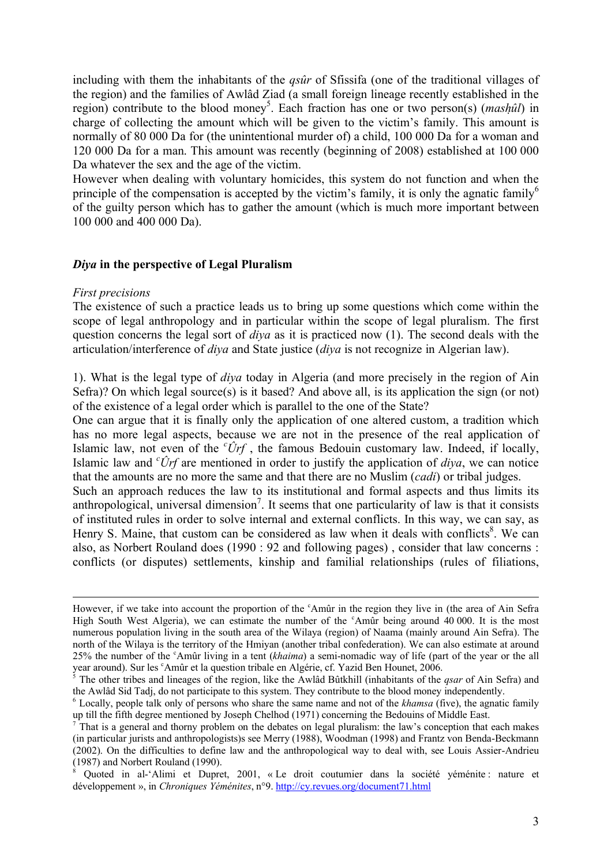including with them the inhabitants of the *qsûr* of Sfissifa (one of the traditional villages of the region) and the families of Awlàd Ziad (a small foreign lineage recently established in the region) contribute to the blood money<sup>5</sup>. Each fraction has one or two person(s) (*mashûl*) in charge of collecting the amount which will be given to the victim's family. This amount is normally of 80 000 Da for (the unintentional murder of) a child, 100 000 Da for a woman and 120 000 Da for a man. This amount was recently (beginning of 2008) established at 100 000 Da whatever the sex and the age of the victim.

However when dealing with voluntary homicides, this system do not function and when the principle of the compensation is accepted by the victim's family, it is only the agnatic family<sup>6</sup> of the guilty person which has to gather the amount (which is much more important between 100 000 and 400 000 Da).

# *Diya* **in the perspective of Legal Pluralism**

#### *First precisions*

The existence of such a practice leads us to bring up some questions which come within the scope of legal anthropology and in particular within the scope of legal pluralism. The first question concerns the legal sort of *diya* as it is practiced now (1). The second deals with the articulation/interference of *diya* and State justice (*diya* is not recognize in Algerian law).

1). What is the legal type of *diya* today in Algeria (and more precisely in the region of Ain Sefra)? On which legal source(s) is it based? And above all, is its application the sign (or not) of the existence of a legal order which is parallel to the one of the State?

One can argue that it is finally only the application of one altered custom, a tradition which has no more legal aspects, because we are not in the presence of the real application of Islamic law, not even of the  $\partial \hat{r}f$ , the famous Bedouin customary law. Indeed, if locally, Islamic law and *<sup>c</sup>Örf* are mentioned in order to justify the application of *diya*, we can notice that the amounts are no more the same and that there are no Muslim (*cadi*) or tribal judges.

Such an approach reduces the law to its institutional and formal aspects and thus limits its anthropological, universal dimension<sup>7</sup>. It seems that one particularity of law is that it consists of instituted rules in order to solve internal and external conflicts. In this way, we can say, as Henry S. Maine, that custom can be considered as law when it deals with conflicts<sup>8</sup>. We can also, as Norbert Rouland does (1990 : 92 and following pages) , consider that law concerns : conflicts (or disputes) settlements, kinship and familial relationships (rules of filiations,

However, if we take into account the proportion of the <sup>c</sup>Amûr in the region they live in (the area of Ain Sefra High South West Algeria), we can estimate the number of the <sup>c</sup>Amûr being around 40 000. It is the most numerous population living in the south area of the Wilaya (region) of Naama (mainly around Ain Sefra). The north of the Wilaya is the territory of the Hmiyan (another tribal confederation). We can also estimate at around 25% the number of the <sup>c</sup>Amár living in a tent (*khaima*) a semi-nomadic way of life (part of the year or the all year around). Sur les <sup>c</sup>Amûr et la question tribale en Algérie, cf. Yazid Ben Hounet, 2006.

<sup>&</sup>lt;sup>5</sup> The other tribes and lineages of the region, like the Awlâd Bûtkhill (inhabitants of the *qsar* of Ain Sefra) and the Awlàd Sid Tadj, do not participate to this system. They contribute to the blood money independently.

<sup>6</sup> Locally, people talk only of persons who share the same name and not of the *khamsa* (five), the agnatic family up till the fifth degree mentioned by Joseph Chelhod (1971) concerning the Bedouins of Middle East.

<sup>7</sup> That is a general and thorny problem on the debates on legal pluralism: the law's conception that each makes (in particular jurists and anthropologists)s see Merry (1988), Woodman (1998) and Frantz von Benda-Beckmann (2002). On the difficulties to define law and the anthropological way to deal with, see Louis Assier-Andrieu (1987) and Norbert Rouland (1990).

Quoted in al-'Alimi et Dupret, 2001, « Le droit coutumier dans la société yéménite : nature et développement », in *Chroniques Yéménites*, n°9. http://cy.revues.org/document71.html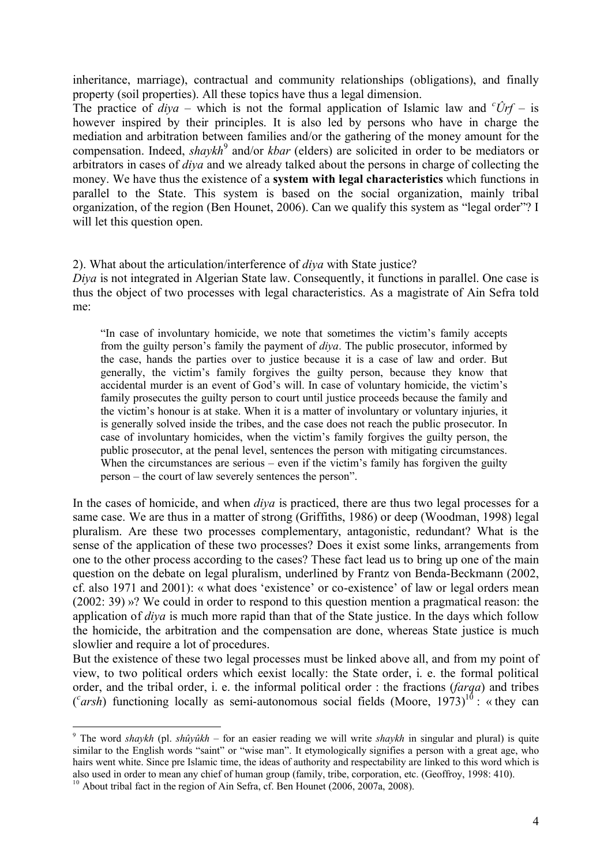inheritance, marriage), contractual and community relationships (obligations), and finally property (soil properties). All these topics have thus a legal dimension.

The practice of  $diya$  – which is not the formal application of Islamic law and  $c\hat{U}rf$  – is however inspired by their principles. It is also led by persons who have in charge the mediation and arbitration between families and/or the gathering of the money amount for the compensation. Indeed, *shaykh*<sup>9</sup> and/or *kbar* (elders) are solicited in order to be mediators or arbitrators in cases of *diya* and we already talked about the persons in charge of collecting the money. We have thus the existence of a **system with legal characteristics** which functions in parallel to the State. This system is based on the social organization, mainly tribal organization, of the region (Ben Hounet, 2006). Can we qualify this system as "legal order"? I will let this question open.

# 2). What about the articulation/interference of *diya* with State justice?

*Diya* is not integrated in Algerian State law. Consequently, it functions in parallel. One case is thus the object of two processes with legal characteristics. As a magistrate of Ain Sefra told me:

"In case of involuntary homicide, we note that sometimes the victim's family accepts from the guilty person's family the payment of *diya*. The public prosecutor, informed by the case, hands the parties over to justice because it is a case of law and order. But generally, the victim's family forgives the guilty person, because they know that accidental murder is an event of God's will. In case of voluntary homicide, the victim's family prosecutes the guilty person to court until justice proceeds because the family and the victim's honour is at stake. When it is a matter of involuntary or voluntary injuries, it is generally solved inside the tribes, and the case does not reach the public prosecutor. In case of involuntary homicides, when the victim's family forgives the guilty person, the public prosecutor, at the penal level, sentences the person with mitigating circumstances. When the circumstances are serious – even if the victim's family has forgiven the guilty person – the court of law severely sentences the person".

In the cases of homicide, and when *diya* is practiced, there are thus two legal processes for a same case. We are thus in a matter of strong (Griffiths, 1986) or deep (Woodman, 1998) legal pluralism. Are these two processes complementary, antagonistic, redundant? What is the sense of the application of these two processes? Does it exist some links, arrangements from one to the other process according to the cases? These fact lead us to bring up one of the main question on the debate on legal pluralism, underlined by Frantz von Benda-Beckmann (2002, cf. also 1971 and 2001): « what does 'existence' or co-existence' of law or legal orders mean  $(2002: 39)$  »? We could in order to respond to this question mention a pragmatical reason: the application of *diya* is much more rapid than that of the State justice. In the days which follow the homicide, the arbitration and the compensation are done, whereas State justice is much slowlier and require a lot of procedures.

But the existence of these two legal processes must be linked above all, and from my point of view, to two political orders which eexist locally: the State order, i. e. the formal political order, and the tribal order, i. e. the informal political order : the fractions (*farqa*) and tribes ( $\alpha$ *carsh*) functioning locally as semi-autonomous social fields (Moore, 1973)<sup>10</sup> : «they can

<sup>9</sup> The word *shaykh* (pl. *shÑyÑkh* – for an easier reading we will write *shaykh* in singular and plural) is quite similar to the English words "saint" or "wise man". It etymologically signifies a person with a great age, who hairs went white. Since pre Islamic time, the ideas of authority and respectability are linked to this word which is also used in order to mean any chief of human group (family, tribe, corporation, etc. (Geoffroy, 1998: 410).

<sup>&</sup>lt;sup>10</sup> About tribal fact in the region of Ain Sefra, cf. Ben Hounet (2006, 2007a, 2008).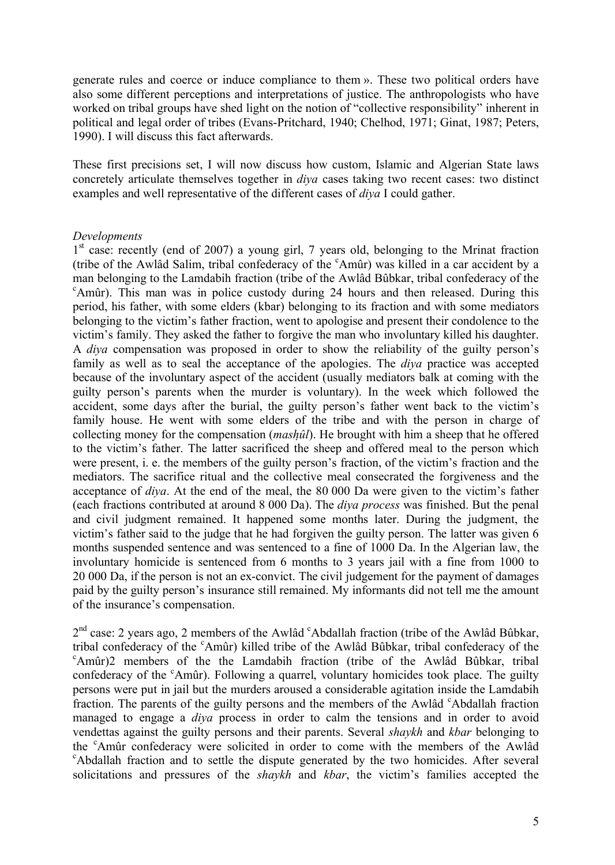generate rules and coerce or induce compliance to them ». These two political orders have also some different perceptions and interpretations of justice. The anthropologists who have worked on tribal groups have shed light on the notion of "collective responsibility" inherent in political and legal order of tribes (Evans-Pritchard, 1940; Chelhod, 1971; Ginat, 1987; Peters, 1990). I will discuss this fact afterwards.

These first precisions set, I will now discuss how custom, Islamic and Algerian State laws concretely articulate themselves together in *diya* cases taking two recent cases: two distinct examples and well representative of the different cases of *diya* I could gather.

# *Developments*

1<sup>st</sup> case: recently (end of 2007) a young girl, 7 years old, belonging to the Mrinat fraction (tribe of the Awlâd Salim, tribal confederacy of the <sup>c</sup>Amûr) was killed in a car accident by a man belonging to the Lamdabih fraction (tribe of the Awlàd Bábkar, tribal confederacy of the <sup>c</sup>Amûr). This man was in police custody during 24 hours and then released. During this period, his father, with some elders (kbar) belonging to its fraction and with some mediators belonging to the victim's father fraction, went to apologise and present their condolence to the victim's family. They asked the father to forgive the man who involuntary killed his daughter. A *diya* compensation was proposed in order to show the reliability of the guilty person's family as well as to seal the acceptance of the apologies. The *diya* practice was accepted because of the involuntary aspect of the accident (usually mediators balk at coming with the guilty person's parents when the murder is voluntary). In the week which followed the accident, some days after the burial, the guilty person's father went back to the victim's family house. He went with some elders of the tribe and with the person in charge of collecting money for the compensation *(mashûl)*. He brought with him a sheep that he offered to the victim's father. The latter sacrificed the sheep and offered meal to the person which were present, i. e. the members of the guilty person's fraction, of the victim's fraction and the mediators. The sacrifice ritual and the collective meal consecrated the forgiveness and the acceptance of *diya*. At the end of the meal, the 80 000 Da were given to the victim's father (each fractions contributed at around 8 000 Da). The *diya process* was finished. But the penal and civil judgment remained. It happened some months later. During the judgment, the victim's father said to the judge that he had forgiven the guilty person. The latter was given 6 months suspended sentence and was sentenced to a fine of 1000 Da. In the Algerian law, the involuntary homicide is sentenced from 6 months to 3 years jail with a fine from 1000 to 20 000 Da, if the person is not an ex-convict. The civil judgement for the payment of damages paid by the guilty person's insurance still remained. My informants did not tell me the amount of the insurance's compensation.

2<sup>nd</sup> case: 2 years ago, 2 members of the Awlâd <sup>c</sup>Abdallah fraction (tribe of the Awlâd Bûbkar, tribal confederacy of the <sup>c</sup>Amûr) killed tribe of the Awlâd Bûbkar, tribal confederacy of the <sup>c</sup>Amûr)2 members of the the Lamdabih fraction (tribe of the Awlâd Bûbkar, tribal confederacy of the <sup>c</sup>Amûr). Following a quarrel, voluntary homicides took place. The guilty persons were put in jail but the murders aroused a considerable agitation inside the Lamdabih fraction. The parents of the guilty persons and the members of the Awlâd  $c^{\circ}$ Abdallah fraction managed to engage a *diya* process in order to calm the tensions and in order to avoid vendettas against the guilty persons and their parents. Several *shaykh* and *kbar* belonging to the <sup>c</sup>Amár confederacy were solicited in order to come with the members of the Awlàd  $c^c$ Abdallah fraction and to settle the dispute generated by the two homicides. After several solicitations and pressures of the *shaykh* and *kbar*, the victim's families accepted the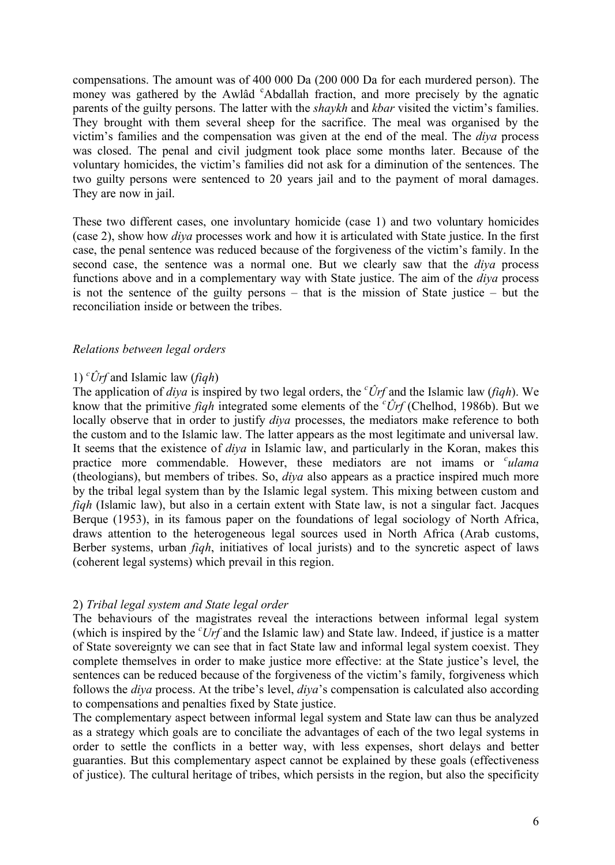compensations. The amount was of 400 000 Da (200 000 Da for each murdered person). The money was gathered by the Awlâd <sup>c</sup>Abdallah fraction, and more precisely by the agnatic parents of the guilty persons. The latter with the *shaykh* and *kbar* visited the victim's families. They brought with them several sheep for the sacrifice. The meal was organised by the victim's families and the compensation was given at the end of the meal. The *diya* process was closed. The penal and civil judgment took place some months later. Because of the voluntary homicides, the victim's families did not ask for a diminution of the sentences. The two guilty persons were sentenced to 20 years jail and to the payment of moral damages. They are now in jail.

These two different cases, one involuntary homicide (case 1) and two voluntary homicides (case 2), show how *diya* processes work and how it is articulated with State justice. In the first case, the penal sentence was reduced because of the forgiveness of the victim's family. In the second case, the sentence was a normal one. But we clearly saw that the *diya* process functions above and in a complementary way with State justice. The aim of the *diya* process is not the sentence of the guilty persons – that is the mission of State justice – but the reconciliation inside or between the tribes.

# *Relations between legal orders*

# 1) *<sup>c</sup>Örf* and Islamic law (*fiqh*)

The application of *diya* is inspired by two legal orders, the *<sup>c</sup>Örf* and the Islamic law (*fiqh*). We know that the primitive *fiqh* integrated some elements of the *<sup>c</sup>Örf* (Chelhod, 1986b). But we locally observe that in order to justify *diya* processes, the mediators make reference to both the custom and to the Islamic law. The latter appears as the most legitimate and universal law. It seems that the existence of *diya* in Islamic law, and particularly in the Koran, makes this practice more commendable. However, these mediators are not imams or *culama* (theologians), but members of tribes. So, *diya* also appears as a practice inspired much more by the tribal legal system than by the Islamic legal system. This mixing between custom and *figh* (Islamic law), but also in a certain extent with State law, is not a singular fact. Jacques Berque (1953), in its famous paper on the foundations of legal sociology of North Africa, draws attention to the heterogeneous legal sources used in North Africa (Arab customs, Berber systems, urban *fiqh*, initiatives of local jurists) and to the syncretic aspect of laws (coherent legal systems) which prevail in this region.

### 2) *Tribal legal system and State legal order*

The behaviours of the magistrates reveal the interactions between informal legal system (which is inspired by the *<sup>c</sup>Urf* and the Islamic law) and State law. Indeed, if justice is a matter of State sovereignty we can see that in fact State law and informal legal system coexist. They complete themselves in order to make justice more effective: at the State justice's level, the sentences can be reduced because of the forgiveness of the victim's family, forgiveness which follows the *diya* process. At the tribe's level, *diya*'s compensation is calculated also according to compensations and penalties fixed by State justice.

The complementary aspect between informal legal system and State law can thus be analyzed as a strategy which goals are to conciliate the advantages of each of the two legal systems in order to settle the conflicts in a better way, with less expenses, short delays and better guaranties. But this complementary aspect cannot be explained by these goals (effectiveness of justice). The cultural heritage of tribes, which persists in the region, but also the specificity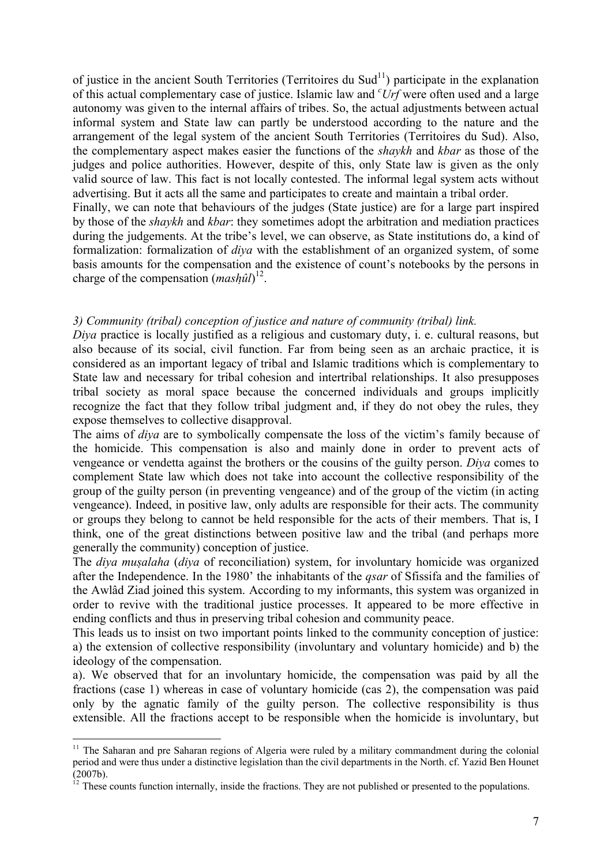of justice in the ancient South Territories (Territoires du Sud<sup>11</sup>) participate in the explanation of this actual complementary case of justice. Islamic law and *<sup>c</sup>Urf* were often used and a large autonomy was given to the internal affairs of tribes. So, the actual adjustments between actual informal system and State law can partly be understood according to the nature and the arrangement of the legal system of the ancient South Territories (Territoires du Sud). Also, the complementary aspect makes easier the functions of the *shaykh* and *kbar* as those of the judges and police authorities. However, despite of this, only State law is given as the only valid source of law. This fact is not locally contested. The informal legal system acts without advertising. But it acts all the same and participates to create and maintain a tribal order. Finally, we can note that behaviours of the judges (State justice) are for a large part inspired by those of the *shaykh* and *kbar*: they sometimes adopt the arbitration and mediation practices

during the judgements. At the tribe's level, we can observe, as State institutions do, a kind of formalization: formalization of *diya* with the establishment of an organized system, of some basis amounts for the compensation and the existence of count's notebooks by the persons in charge of the compensation  $(mash\hat{u}l)^{12}$ .

# *3) Community (tribal) conception of justice and nature of community (tribal) link.*

*Diya* practice is locally justified as a religious and customary duty, i. e. cultural reasons, but also because of its social, civil function. Far from being seen as an archaic practice, it is considered as an important legacy of tribal and Islamic traditions which is complementary to State law and necessary for tribal cohesion and intertribal relationships. It also presupposes tribal society as moral space because the concerned individuals and groups implicitly recognize the fact that they follow tribal judgment and, if they do not obey the rules, they expose themselves to collective disapproval.

The aims of *diya* are to symbolically compensate the loss of the victim's family because of the homicide. This compensation is also and mainly done in order to prevent acts of vengeance or vendetta against the brothers or the cousins of the guilty person. *Diya* comes to complement State law which does not take into account the collective responsibility of the group of the guilty person (in preventing vengeance) and of the group of the victim (in acting vengeance). Indeed, in positive law, only adults are responsible for their acts. The community or groups they belong to cannot be held responsible for the acts of their members. That is, I think, one of the great distinctions between positive law and the tribal (and perhaps more generally the community) conception of justice.

The *diya musalaha* (*diya* of reconciliation) system, for involuntary homicide was organized after the Independence. In the 1980' the inhabitants of the *qsar* of Sfissifa and the families of the Awlàd Ziad joined this system. According to my informants, this system was organized in order to revive with the traditional justice processes. It appeared to be more effective in ending conflicts and thus in preserving tribal cohesion and community peace.

This leads us to insist on two important points linked to the community conception of justice: a) the extension of collective responsibility (involuntary and voluntary homicide) and b) the ideology of the compensation.

a). We observed that for an involuntary homicide, the compensation was paid by all the fractions (case 1) whereas in case of voluntary homicide (cas 2), the compensation was paid only by the agnatic family of the guilty person. The collective responsibility is thus extensible. All the fractions accept to be responsible when the homicide is involuntary, but

<sup>&</sup>lt;sup>11</sup> The Saharan and pre Saharan regions of Algeria were ruled by a military commandment during the colonial period and were thus under a distinctive legislation than the civil departments in the North. cf. Yazid Ben Hounet (2007b).

 $12$  These counts function internally, inside the fractions. They are not published or presented to the populations.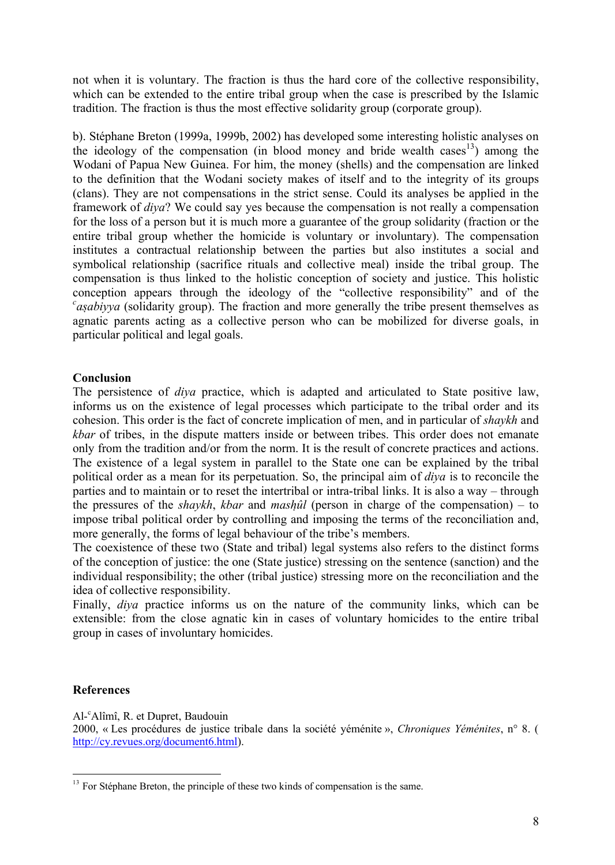not when it is voluntary. The fraction is thus the hard core of the collective responsibility, which can be extended to the entire tribal group when the case is prescribed by the Islamic tradition. The fraction is thus the most effective solidarity group (corporate group).

b). Stéphane Breton (1999a, 1999b, 2002) has developed some interesting holistic analyses on the ideology of the compensation (in blood money and bride wealth cases<sup>13</sup>) among the Wodani of Papua New Guinea. For him, the money (shells) and the compensation are linked to the definition that the Wodani society makes of itself and to the integrity of its groups (clans). They are not compensations in the strict sense. Could its analyses be applied in the framework of *diya*? We could say yes because the compensation is not really a compensation for the loss of a person but it is much more a guarantee of the group solidarity (fraction or the entire tribal group whether the homicide is voluntary or involuntary). The compensation institutes a contractual relationship between the parties but also institutes a social and symbolical relationship (sacrifice rituals and collective meal) inside the tribal group. The compensation is thus linked to the holistic conception of society and justice. This holistic conception appears through the ideology of the "collective responsibility" and of the <sup>c</sup>asabiyya (solidarity group). The fraction and more generally the tribe present themselves as agnatic parents acting as a collective person who can be mobilized for diverse goals, in particular political and legal goals.

# **Conclusion**

The persistence of *diya* practice, which is adapted and articulated to State positive law, informs us on the existence of legal processes which participate to the tribal order and its cohesion. This order is the fact of concrete implication of men, and in particular of *shaykh* and *kbar* of tribes, in the dispute matters inside or between tribes. This order does not emanate only from the tradition and/or from the norm. It is the result of concrete practices and actions. The existence of a legal system in parallel to the State one can be explained by the tribal political order as a mean for its perpetuation. So, the principal aim of *diya* is to reconcile the parties and to maintain or to reset the intertribal or intra-tribal links. It is also a way – through the pressures of the *shaykh*, *kbar* and *mashûl* (person in charge of the compensation) – to impose tribal political order by controlling and imposing the terms of the reconciliation and, more generally, the forms of legal behaviour of the tribe's members.

The coexistence of these two (State and tribal) legal systems also refers to the distinct forms of the conception of justice: the one (State justice) stressing on the sentence (sanction) and the individual responsibility; the other (tribal justice) stressing more on the reconciliation and the idea of collective responsibility.

Finally, *diya* practice informs us on the nature of the community links, which can be extensible: from the close agnatic kin in cases of voluntary homicides to the entire tribal group in cases of involuntary homicides.

# **References**

Al-<sup>c</sup>Alåmå, R. et Dupret, Baudouin

2000, « Les procédures de justice tribale dans la société véménite », *Chroniques Yéménites*, n° 8. ( http://cy.revues.org/document6.html).

 $13$  For Stéphane Breton, the principle of these two kinds of compensation is the same.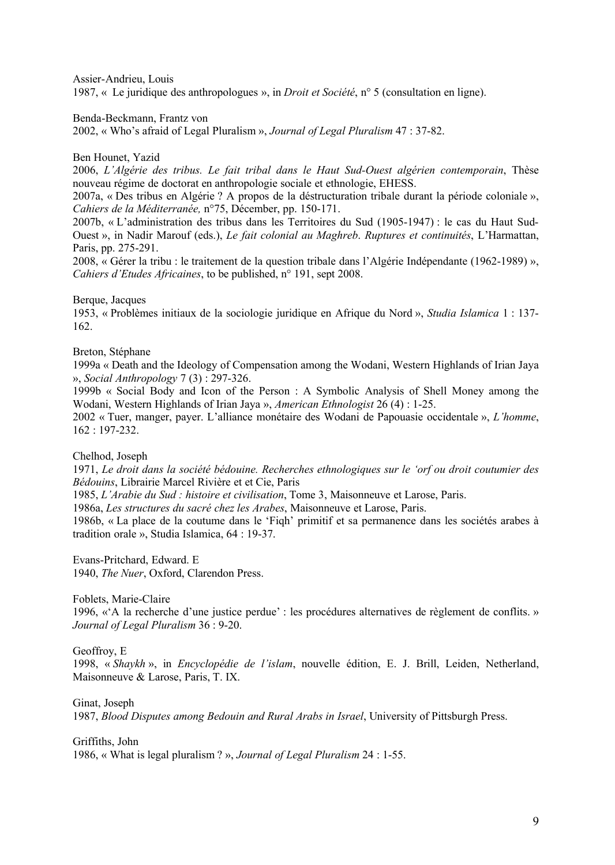Assier-Andrieu, Louis 1987, « Le juridique des anthropologues », in *Droit et Société*, n° 5 (consultation en ligne).

Benda-Beckmann, Frantz von

2002, Å Who's afraid of Legal Pluralism É, *Journal of Legal Pluralism* 47 : 37-82.

Ben Hounet, Yazid

2006, *L'Algérie des tribus. Le fait tribal dans le Haut Sud-Ouest algérien contemporain*, Thèse nouveau régime de doctorat en anthropologie sociale et ethnologie, EHESS.

2007a, « Des tribus en Algérie ? A propos de la déstructuration tribale durant la période coloniale », *Cahiers de la Méditerranée*, n°75, Décember, pp. 150-171.

2007b, Å L'administration des tribus dans les Territoires du Sud (1905-1947) : le cas du Haut Sud-Ouest », in Nadir Marouf (eds.), *Le fait colonial au Maghreb. Ruptures et continuités*, L'Harmattan, Paris, pp. 275-291.

2008, « Gérer la tribu : le traitement de la question tribale dans l'Algérie Indépendante (1962-1989) », *Cahiers d'Etudes Africaines*, to be published, n° 191, sept 2008.

Berque, Jacques

1953, Å Problçmes initiaux de la sociologie juridique en Afrique du Nord É, *Studia Islamica* 1 : 137- 162.

Breton, Stéphane

1999a Å Death and the Ideology of Compensation among the Wodani, Western Highlands of Irian Jaya É, *Social Anthropology* 7 (3) : 297-326.

1999b Å Social Body and Icon of the Person : A Symbolic Analysis of Shell Money among the Wodani, Western Highlands of Irian Jaya », *American Ethnologist* 26 (4) : 1-25.

2002 « Tuer, manger, payer. L'alliance monétaire des Wodani de Papouasie occidentale », *L'homme*, 162 : 197-232.

Chelhod, Joseph

1971, *Le droit dans la sociÄtÄ bÄdouine. Recherches ethnologiques sur le 'orf ou droit coutumier des Bédouins*, Librairie Marcel Rivière et et Cie, Paris

1985, *L'Arabie du Sud : histoire et civilisation*, Tome 3, Maisonneuve et Larose, Paris.

1986a, *Les structures du sacré chez les Arabes*, Maisonneuve et Larose, Paris.

1986b, « La place de la coutume dans le 'Fiqh' primitif et sa permanence dans les sociétés arabes à tradition orale », Studia Islamica, 64 : 19-37.

Evans-Pritchard, Edward. E 1940, *The Nuer*, Oxford, Clarendon Press.

Foblets, Marie-Claire

1996, «'A la recherche d'une justice perdue' : les procédures alternatives de règlement de conflits. » *Journal of Legal Pluralism* 36 : 9-20.

Geoffroy, E

1998, « Shaykh », in *Encyclopédie de l'islam*, nouvelle édition, E. J. Brill, Leiden, Netherland, Maisonneuve & Larose, Paris, T. IX.

Ginat, Joseph

1987, *Blood Disputes among Bedouin and Rural Arabs in Israel*, University of Pittsburgh Press.

Griffiths, John

1986, « What is legal pluralism ? », *Journal of Legal Pluralism* 24 : 1-55.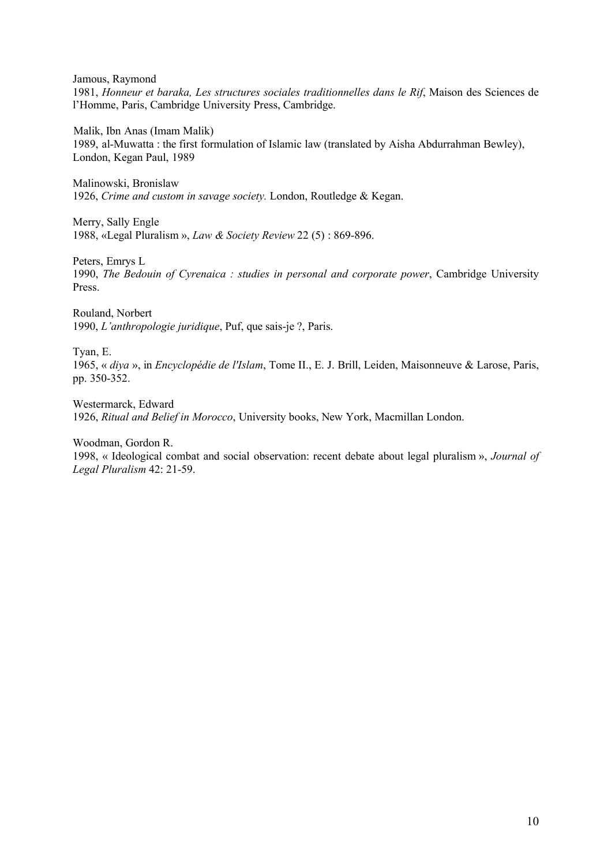Jamous, Raymond

1981, *Honneur et baraka, Les structures sociales traditionnelles dans le Rif*, Maison des Sciences de l'Homme, Paris, Cambridge University Press, Cambridge.

Malik, Ibn Anas (Imam Malik) 1989, al-Muwatta : the first formulation of Islamic law (translated by Aisha Abdurrahman Bewley), London, Kegan Paul, 1989

Malinowski, Bronislaw 1926, *Crime and custom in savage society.* London, Routledge & Kegan.

Merry, Sally Engle 1988, «Legal Pluralism », *Law & Society Review* 22 (5) : 869-896.

Peters, Emrys L

1990, *The Bedouin of Cyrenaica : studies in personal and corporate power*, Cambridge University Press.

Rouland, Norbert 1990, *L'anthropologie juridique*, Puf, que sais-je ?, Paris.

Tyan, E.

1965, « diya », in *Encyclopédie de l'Islam*, Tome II., E. J. Brill, Leiden, Maisonneuve & Larose, Paris, pp. 350-352.

Westermarck, Edward 1926, *Ritual and Belief in Morocco*, University books, New York, Macmillan London.

Woodman, Gordon R.

1998, « Ideological combat and social observation: recent debate about legal pluralism », *Journal of Legal Pluralism* 42: 21-59.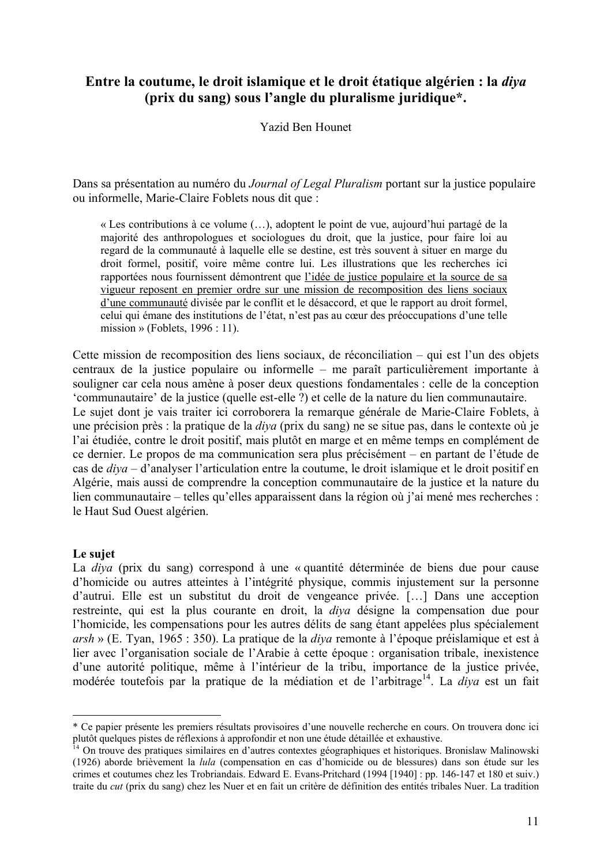# **Entre la coutume, le droit islamique et le droit étatique algérien : la** *diya* **(prix du sang) sous l'angle du pluralisme juridique\*.**

Yazid Ben Hounet

Dans sa présentation au numéro du *Journal of Legal Pluralism* portant sur la justice populaire ou informelle, Marie-Claire Foblets nous dit que :

Å Les contributions é ce volume (…), adoptent le point de vue, aujourd'hui partagâ de la majoritâ des anthropologues et sociologues du droit, que la justice, pour faire loi au regard de la communauté à laquelle elle se destine, est très souvent à situer en marge du droit formel, positif, voire mème contre lui. Les illustrations que les recherches ici rapportées nous fournissent démontrent que l'idée de justice populaire et la source de sa vigueur reposent en premier ordre sur une mission de recomposition des liens sociaux d'une communauté divisée par le conflit et le désaccord, et que le rapport au droit formel, celui qui émane des institutions de l'état, n'est pas au cœur des préoccupations d'une telle mission » (Foblets,  $1996 : 11$ ).

Cette mission de recomposition des liens sociaux, de réconciliation – qui est l'un des objets centraux de la justice populaire ou informelle – me paraît particulièrement importante à souligner car cela nous amène à poser deux questions fondamentales : celle de la conception 'communautaire' de la justice (quelle est-elle ?) et celle de la nature du lien communautaire. Le suiet dont je vais traiter ici corroborera la remarque générale de Marie-Claire Foblets, à une précision près : la pratique de la *diya* (prix du sang) ne se situe pas, dans le contexte où je l'ai étudiée, contre le droit positif, mais plutôt en marge et en même temps en complément de ce dernier. Le propos de ma communication sera plus précisément – en partant de l'étude de cas de *diya* – d'analyser l'articulation entre la coutume, le droit islamique et le droit positif en Algârie, mais aussi de comprendre la conception communautaire de la justice et la nature du lien communautaire – telles qu'elles apparaissent dans la région où j'ai mené mes recherches : le Haut Sud Ouest algérien.

### **Le sujet**

La *diva* (prix du sang) correspond à une « quantité déterminée de biens due pour cause d'homicide ou autres atteintes à l'intégrité physique, commis injustement sur la personne d'autrui. Elle est un substitut du droit de vengeance privée. [...] Dans une acception restreinte, qui est la plus courante en droit, la *diva* désigne la compensation due pour l'homicide, les compensations pour les autres délits de sang étant appelées plus spécialement *arsh* » (E. Tyan, 1965 : 350). La pratique de la *diva* remonte à l'époque préislamique et est à lier avec l'organisation sociale de l'Arabie à cette époque : organisation tribale, inexistence d'une autorité politique, même à l'intérieur de la tribu, importance de la justice privée, modérée toutefois par la pratique de la médiation et de l'arbitrage<sup>14</sup>. La *diya* est un fait

<sup>\*</sup> Ce papier prâsente les premiers râsultats provisoires d'une nouvelle recherche en cours. On trouvera donc ici plutôt quelques pistes de réflexions à approfondir et non une étude détaillée et exhaustive.

<sup>&</sup>lt;sup>14</sup> On trouve des pratiques similaires en d'autres contextes géographiques et historiques. Bronislaw Malinowski (1926) aborde briçvement la *lula* (compensation en cas d'homicide ou de blessures) dans son âtude sur les crimes et coutumes chez les Trobriandais. Edward E. Evans-Pritchard (1994 [1940] : pp. 146-147 et 180 et suiv.) traite du *cut* (prix du sang) chez les Nuer et en fait un critère de définition des entités tribales Nuer. La tradition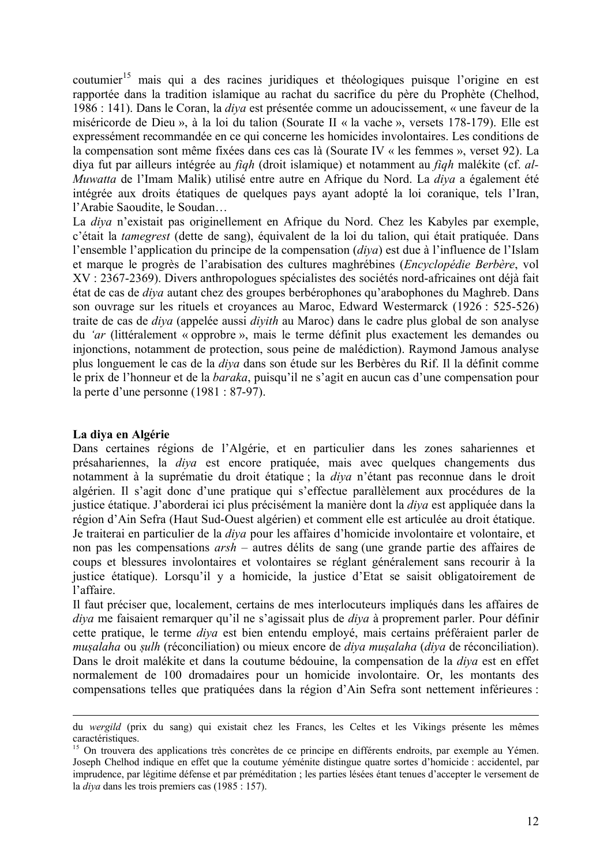coutumier<sup>15</sup> mais qui a des racines juridiques et théologiques puisque l'origine en est rapportée dans la tradition islamique au rachat du sacrifice du père du Prophète (Chelhod, 1986 : 141). Dans le Coran, la *diva* est présentée comme un adoucissement, « une faveur de la miséricorde de Dieu », à la loi du talion (Sourate II « la vache », versets 178-179). Elle est expressâment recommandâe en ce qui concerne les homicides involontaires. Les conditions de la compensation sont même fixées dans ces cas là (Sourate IV « les femmes », verset 92). La diya fut par ailleurs intégrée au *figh* (droit islamique) et notamment au *figh* malékite (cf. *al-Muwatta* de l'Imam Malik) utilisé entre autre en Afrique du Nord. La *diva* a également été intégrée aux droits étatiques de quelques pays ayant adopté la loi coranique, tels l'Iran, l'Arabie Saoudite, le Soudan…

La *diya* n'existait pas originellement en Afrique du Nord. Chez les Kabyles par exemple, c'était la *tamegrest* (dette de sang), équivalent de la loi du talion, qui était pratiquée. Dans l'ensemble l'application du principe de la compensation (*diya*) est due é l'influence de l'Islam et marque le progrès de l'arabisation des cultures maghrébines (*Encyclopédie Berbère*, vol XV : 2367-2369). Divers anthropologues spécialistes des sociétés nord-africaines ont déjà fait âtat de cas de *diya* autant chez des groupes berbârophones qu'arabophones du Maghreb. Dans son ouvrage sur les rituels et croyances au Maroc, Edward Westermarck (1926 : 525-526) traite de cas de *diya* (appelâe aussi *diyith* au Maroc) dans le cadre plus global de son analyse du 'ar (littéralement « opprobre », mais le terme définit plus exactement les demandes ou injonctions, notamment de protection, sous peine de malâdiction). Raymond Jamous analyse plus longuement le cas de la *diya* dans son étude sur les Berbères du Rif. Il la définit comme le prix de l'honneur et de la *baraka*, puisqu'il ne s'agit en aucun cas d'une compensation pour la perte d'une personne (1981 : 87-97).

# La diva en Algérie

Dans certaines régions de l'Algérie, et en particulier dans les zones sahariennes et présahariennes, la *diya* est encore pratiquée, mais avec quelques changements dus notamment à la suprématie du droit étatique ; la *diya* n'étant pas reconnue dans le droit algârien. Il s'agit donc d'une pratique qui s'effectue parallçlement aux procâdures de la justice étatique. J'aborderai ici plus précisément la manière dont la *diva* est appliquée dans la région d'Ain Sefra (Haut Sud-Ouest algérien) et comment elle est articulée au droit étatique. Je traiterai en particulier de la *diya* pour les affaires d'homicide involontaire et volontaire, et non pas les compensations *arsh* – autres dâlits de sang (une grande partie des affaires de coups et blessures involontaires et volontaires se réglant généralement sans recourir à la justice âtatique). Lorsqu'il y a homicide, la justice d'Etat se saisit obligatoirement de l'affaire.

Il faut préciser que, localement, certains de mes interlocuteurs impliqués dans les affaires de *diya* me faisaient remarquer qu'il ne s'agissait plus de *diya* à proprement parler. Pour définir cette pratique, le terme *diva* est bien entendu employé, mais certains préféraient parler de *musalaha* ou *sulh* (réconciliation) ou mieux encore de *diva musalaha* (*diva* de réconciliation). Dans le droit malékite et dans la coutume bédouine, la compensation de la *diva* est en effet normalement de 100 dromadaires pour un homicide involontaire. Or, les montants des compensations telles que pratiquêes dans la région d'Ain Sefra sont nettement inférieures :

du *wergild* (prix du sang) qui existait chez les Francs, les Celtes et les Vikings présente les mêmes caractéristiques

<sup>&</sup>lt;sup>15</sup> On trouvera des applications très concrètes de ce principe en différents endroits, par exemple au Yémen. Joseph Chelhod indique en effet que la coutume yéménite distingue quatre sortes d'homicide : accidentel, par imprudence, par légitime défense et par préméditation ; les parties lésées étant tenues d'accepter le versement de la *diya* dans les trois premiers cas (1985 : 157).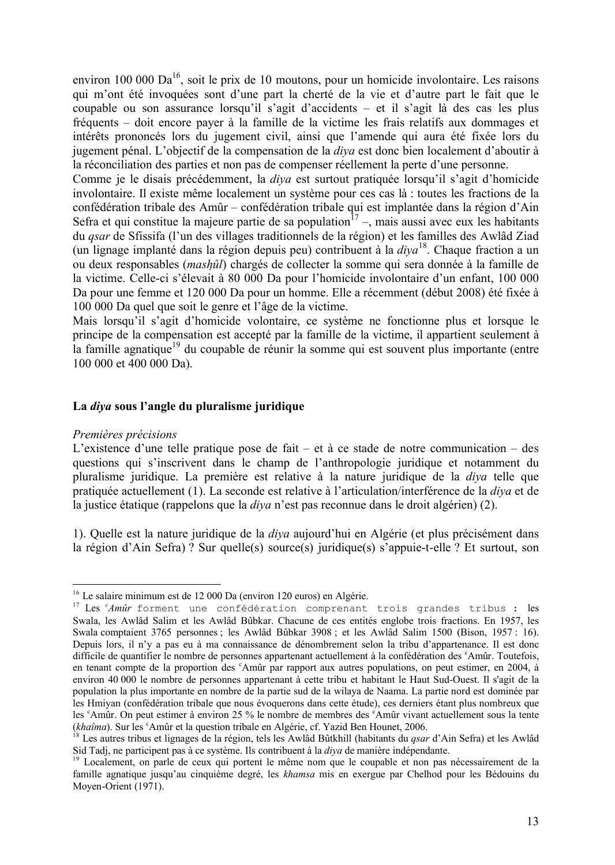environ 100 000 Da<sup>16</sup>, soit le prix de 10 moutons, pour un homicide involontaire. Les raisons qui m'ont été invoquées sont d'une part la cherté de la vie et d'autre part le fait que le coupable ou son assurance lorsqu'il s'agit d'accidents – et il s'agit lé des cas les plus frâquents – doit encore payer é la famille de la victime les frais relatifs aux dommages et intérêts prononcés lors du jugement civil, ainsi que l'amende qui aura été fixée lors du jugement pânal. L'objectif de la compensation de la *diya* est donc bien localement d'aboutir é la réconciliation des parties et non pas de compenser réellement la perte d'une personne.

Comme je le disais précédemment, la *diva* est surtout pratiquée lorsqu'il s'agit d'homicide involontaire. Il existe même localement un système pour ces cas là : toutes les fractions de la confédération tribale des Amûr – confédération tribale qui est implantée dans la région d'Ain Sefra et qui constitue la majeure partie de sa population<sup> $17$ </sup>, mais aussi avec eux les habitants du *qsar* de Sfissifa (l'un des villages traditionnels de la région) et les familles des Awlâd Ziad (un lignage implanté dans la région depuis peu) contribuent à la *diya*<sup>18</sup>. Chaque fraction a un ou deux responsables *(mashûl)* chargés de collecter la somme qui sera donnée à la famille de la victime. Celle-ci s'élevait à 80 000 Da pour l'homicide involontaire d'un enfant, 100 000 Da pour une femme et 120 000 Da pour un homme. Elle a récemment (début 2008) été fixée à 100 000 Da quel que soit le genre et l'àge de la victime.

Mais lorsqu'il s'agit d'homicide volontaire, ce système ne fonctionne plus et lorsque le principe de la compensation est accepté par la famille de la victime, il appartient seulement à la famille agnatique<sup>19</sup> du coupable de réunir la somme qui est souvent plus importante (entre 100 000 et 400 000 Da).

### **La** *diya* **sous l'angle du pluralisme juridique**

#### *Premières précisions*

L'existence d'une telle pratique pose de fait – et à ce stade de notre communication – des questions qui s'inscrivent dans le champ de l'anthropologie juridique et notamment du pluralisme juridique. La première est relative à la nature juridique de la *diya* telle que pratiquâe actuellement (1). La seconde est relative é l'articulation/interfârence de la *diya* et de la justice étatique (rappelons que la *diya* n'est pas reconnue dans le droit algérien) (2).

1). Quelle est la nature juridique de la *diva* aujourd'hui en Algérie (et plus précisément dans la région d'Ain Sefra) ? Sur quelle(s) source(s) juridique(s) s'appuie-t-elle ? Et surtout, son

<sup>&</sup>lt;sup>16</sup> Le salaire minimum est de 12 000 Da (environ 120 euros) en Algérie.

<sup>&</sup>lt;sup>17</sup> Les <sup>c</sup>Amûr forment une confédération comprenant trois grandes tribus : les Swala, les Awlâd Salim et les Awlâd Bûbkar. Chacune de ces entités englobe trois fractions. En 1957, les Swala comptaient 3765 personnes ; les Awlàd Bábkar 3908 ; et les Awlàd Salim 1500 (Bison, 1957 : 16). Depuis lors, il n'y a pas eu é ma connaissance de dânombrement selon la tribu d'appartenance. Il est donc difficile de quantifier le nombre de personnes appartenant actuellement à la confédération des <sup>c</sup>Amûr. Toutefois, en tenant compte de la proportion des <sup>c</sup>Amûr par rapport aux autres populations, on peut estimer, en 2004, à environ 40 000 le nombre de personnes appartenant é cette tribu et habitant le Haut Sud-Ouest. Il s'agit de la population la plus importante en nombre de la partie sud de la wilaya de Naama. La partie nord est dominâe par les Hmiyan (confâdâration tribale que nous âvoquerons dans cette âtude), ces derniers âtant plus nombreux que les <sup>c</sup>Amûr. On peut estimer à environ 25 % le nombre de membres des <sup>c</sup>Amûr vivant actuellement sous la tente (*khaîma*). Sur les <sup>c</sup>Amûr et la question tribale en Algérie, cf. Yazid Ben Hounet, 2006.

<sup>18</sup> Les autres tribus et lignages de la râgion, tels les Awlàd Bátkhill (habitants du *qsar* d'Ain Sefra) et les Awlàd Sid Tadi, ne participent pas à ce système. Ils contribuent à la *diva* de manière indépendante.

<sup>&</sup>lt;sup>19</sup> Localement, on parle de ceux qui portent le même nom que le coupable et non pas nécessairement de la famille agnatique jusqu'au cinquième degré, les *khamsa* mis en exergue par Chelhod pour les Bédouins du Moyen-Orient (1971).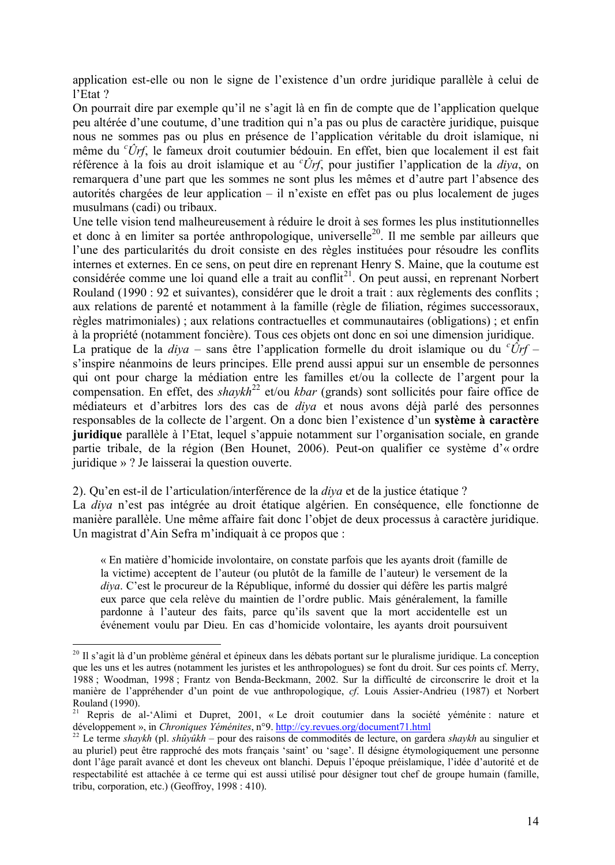application est-elle ou non le signe de l'existence d'un ordre juridique parallèle à celui de l'Etat ?

On pourrait dire par exemple qu'il ne s'agit lé en fin de compte que de l'application quelque peu altérée d'une coutume, d'une tradition qui n'a pas ou plus de caractère juridique, puisque nous ne sommes pas ou plus en présence de l'application véritable du droit islamique, ni mème du *<sup>c</sup>Örf*, le fameux droit coutumier bâdouin. En effet, bien que localement il est fait référence à la fois au droit islamique et au <sup>*c*</sup>Ûrf, pour justifier l'application de la *diya*, on remarquera d'une part que les sommes ne sont plus les mèmes et d'autre part l'absence des autorités chargées de leur application – il n'existe en effet pas ou plus localement de juges musulmans (cadi) ou tribaux.

Une telle vision tend malheureusement à réduire le droit à ses formes les plus institutionnelles et donc à en limiter sa portée anthropologique, universelle<sup>20</sup>. Il me semble par ailleurs que l'une des particularités du droit consiste en des règles instituées pour résoudre les conflits internes et externes. En ce sens, on peut dire en reprenant Henry S. Maine, que la coutume est considérée comme une loi quand elle a trait au conflit<sup>21</sup>. On peut aussi, en reprenant Norbert Rouland (1990 : 92 et suivantes), considérer que le droit a trait : aux règlements des conflits ; aux relations de parenté et notamment à la famille (règle de filiation, régimes successoraux, règles matrimoniales) ; aux relations contractuelles et communautaires (obligations) ; et enfin à la propriété (notamment foncière). Tous ces objets ont donc en soi une dimension juridique. La pratique de la *diya* – sans ètre l'application formelle du droit islamique ou du *<sup>c</sup>Örf* – s'inspire nâanmoins de leurs principes. Elle prend aussi appui sur un ensemble de personnes qui ont pour charge la mâdiation entre les familles et/ou la collecte de l'argent pour la compensation. En effet, des *shaykh*<sup>22</sup> et/ou *kbar* (grands) sont sollicités pour faire office de médiateurs et d'arbitres lors des cas de *diva* et nous avons déjà parlé des personnes responsables de la collecte de l'argent. On a donc bien l'existence d'un système à caractère **juridique** parallèle à l'Etat, lequel s'appuie notamment sur l'organisation sociale, en grande partie tribale, de la région (Ben Hounet, 2006). Peut-on qualifier ce système d'« ordre juridique » ? Je laisserai la question ouverte.

# 2). Qu'en est-il de l'articulation/interférence de la *diva* et de la justice étatique ?

La *diya* n'est pas intégrée au droit étatique algérien. En conséquence, elle fonctionne de manière parallèle. Une même affaire fait donc l'objet de deux processus à caractère juridique. Un magistrat d'Ain Sefra m'indiquait à ce propos que :

Å En matiçre d'homicide involontaire, on constate parfois que les ayants droit (famille de la victime) acceptent de l'auteur (ou plutít de la famille de l'auteur) le versement de la *diya*. C'est le procureur de la République, informé du dossier qui défère les partis malgré eux parce que cela relève du maintien de l'ordre public. Mais généralement, la famille pardonne à l'auteur des faits, parce qu'ils savent que la mort accidentelle est un âvânement voulu par Dieu. En cas d'homicide volontaire, les ayants droit poursuivent

 $^{20}$  Il s'agit là d'un problème général et épineux dans les débats portant sur le pluralisme juridique. La conception que les uns et les autres (notamment les juristes et les anthropologues) se font du droit. Sur ces points cf. Merry, 1988 ; Woodman, 1998 ; Frantz von Benda-Beckmann, 2002. Sur la difficulté de circonscrire le droit et la maniçre de l'apprâhender d'un point de vue anthropologique, *cf*. Louis Assier-Andrieu (1987) et Norbert Rouland (1990).

<sup>&</sup>lt;sup>21</sup> Repris de al-'Alimi et Dupret, 2001, « Le droit coutumier dans la société yéménite : nature et développement », in *Chroniques Yéménites*, n°9. http://cy.revues.org/document71.html

<sup>&</sup>lt;sup>22</sup> Le terme *shavkh* (pl. *shûyûkh* – pour des raisons de commodités de lecture, on gardera *shaykh* au singulier et au pluriel) peut être rapproché des mots français 'saint' ou 'sage'. Il désigne étymologiquement une personne dont l'âge paraît avancé et dont les cheveux ont blanchi. Depuis l'époque préislamique, l'idée d'autorité et de respectabilité est attachée à ce terme qui est aussi utilisé pour désigner tout chef de groupe humain (famille, tribu, corporation, etc.) (Geoffroy, 1998 : 410).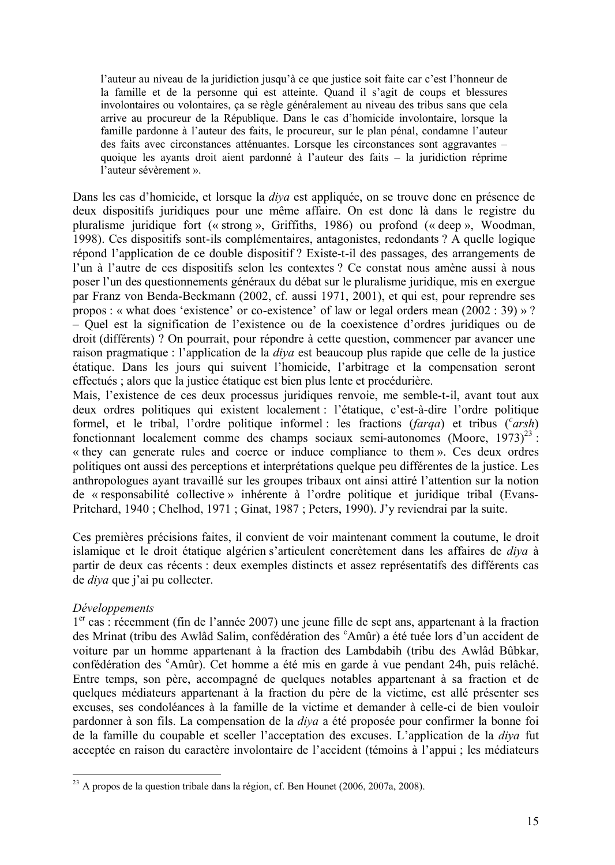l'auteur au niveau de la juridiction jusqu'é ce que justice soit faite car c'est l'honneur de la famille et de la personne qui est atteinte. Quand il s'agit de coups et blessures involontaires ou volontaires, ça se règle généralement au niveau des tribus sans que cela arrive au procureur de la Râpublique. Dans le cas d'homicide involontaire, lorsque la famille pardonne à l'auteur des faits, le procureur, sur le plan pénal, condamne l'auteur des faits avec circonstances atténuantes. Lorsque les circonstances sont aggravantes – quoique les ayants droit aient pardonné à l'auteur des faits  $-$  la juridiction réprime l'auteur sévèrement ».

Dans les cas d'homicide, et lorsque la *diva* est appliquée, on se trouve donc en présence de deux dispositifs juridiques pour une même affaire. On est donc là dans le registre du pluralisme juridique fort (« strong », Griffiths, 1986) ou profond (« deep », Woodman, 1998). Ces dispositifs sont-ils complâmentaires, antagonistes, redondants ? A quelle logique répond l'application de ce double dispositif ? Existe-t-il des passages, des arrangements de l'un à l'autre de ces dispositifs selon les contextes ? Ce constat nous amène aussi à nous poser l'un des questionnements gânâraux du dâbat sur le pluralisme juridique, mis en exergue par Franz von Benda-Beckmann (2002, cf. aussi 1971, 2001), et qui est, pour reprendre ses propos : « what does 'existence' or co-existence' of law or legal orders mean  $(2002 : 39)$  »? – Quel est la signification de l'existence ou de la coexistence d'ordres juridiques ou de droit (différents) ? On pourrait, pour répondre à cette question, commencer par avancer une raison pragmatique : l'application de la *diya* est beaucoup plus rapide que celle de la justice âtatique. Dans les jours qui suivent l'homicide, l'arbitrage et la compensation seront effectués ; alors que la justice étatique est bien plus lente et procédurière.

Mais, l'existence de ces deux processus juridiques renvoie, me semble-t-il, avant tout aux deux ordres politiques qui existent localement : l'étatique, c'est-à-dire l'ordre politique formel, et le tribal, l'ordre politique informel : les fractions (farqa) et tribus ('arsh) fonctionnant localement comme des champs sociaux semi-autonomes (Moore,  $1973)^{23}$ :  $\kappa$  they can generate rules and coerce or induce compliance to them  $\kappa$ . Ces deux ordres politiques ont aussi des perceptions et interprétations quelque peu différentes de la justice. Les anthropologues ayant travaillé sur les groupes tribaux ont ainsi attiré l'attention sur la notion de « responsabilité collective » inhérente à l'ordre politique et juridique tribal (Evans-Pritchard, 1940 ; Chelhod, 1971 ; Ginat, 1987 ; Peters, 1990). J'y reviendrai par la suite.

Ces premières précisions faites, il convient de voir maintenant comment la coutume, le droit islamique et le droit étatique algérien s'articulent concrètement dans les affaires de *diva* à partir de deux cas récents : deux exemples distincts et assez représentatifs des différents cas de *diya* que j'ai pu collecter.

# *DÄveloppements*

1<sup>er</sup> cas : récemment (fin de l'année 2007) une jeune fille de sept ans, appartenant à la fraction des Mrinat (tribu des Awlâd Salim, confédération des <sup>c</sup>Amûr) a été tuée lors d'un accident de voiture par un homme appartenant é la fraction des Lambdabih (tribu des Awlàd Bábkar, confédération des <sup>c</sup>Amûr). Cet homme a été mis en garde à vue pendant 24h, puis relâché. Entre temps, son père, accompagné de quelques notables appartenant à sa fraction et de quelques médiateurs appartenant à la fraction du père de la victime, est allé présenter ses excuses, ses condolâances é la famille de la victime et demander é celle-ci de bien vouloir pardonner à son fils. La compensation de la *diya* a été proposée pour confirmer la bonne foi de la famille du coupable et sceller l'acceptation des excuses. L'application de la *diya* fut acceptée en raison du caractère involontaire de l'accident (témoins à l'appui ; les médiateurs

 $^{23}$  A propos de la question tribale dans la région, cf. Ben Hounet (2006, 2007a, 2008).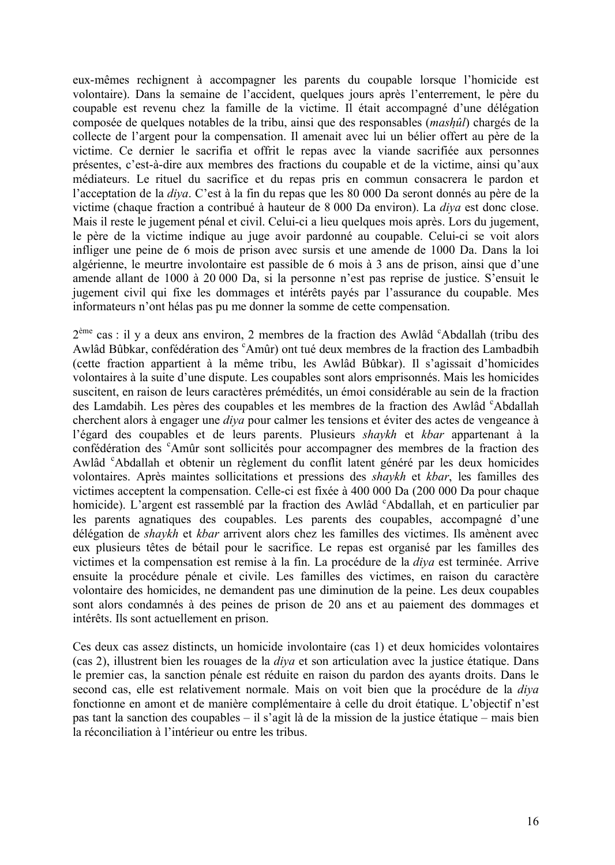eux-mèmes rechignent é accompagner les parents du coupable lorsque l'homicide est volontaire). Dans la semaine de l'accident, quelques jours après l'enterrement, le père du coupable est revenu chez la famille de la victime. Il était accompagné d'une délégation composée de quelques notables de la tribu, ainsi que des responsables (*mashûl*) chargés de la collecte de l'argent pour la compensation. Il amenait avec lui un bélier offert au père de la victime. Ce dernier le sacrifia et offrit le repas avec la viande sacrifiée aux personnes prâsentes, c'est-é-dire aux membres des fractions du coupable et de la victime, ainsi qu'aux mâdiateurs. Le rituel du sacrifice et du repas pris en commun consacrera le pardon et l'acceptation de la *diva*. C'est à la fin du repas que les 80 000 Da seront donnés au père de la victime (chaque fraction a contribuâ é hauteur de 8 000 Da environ). La *diya* est donc close. Mais il reste le jugement pénal et civil. Celui-ci a lieu quelques mois après. Lors du jugement, le père de la victime indique au juge avoir pardonné au coupable. Celui-ci se voit alors infliger une peine de 6 mois de prison avec sursis et une amende de 1000 Da. Dans la loi algârienne, le meurtre involontaire est passible de 6 mois é 3 ans de prison, ainsi que d'une amende allant de 1000 é 20 000 Da, si la personne n'est pas reprise de justice. S'ensuit le jugement civil qui fixe les dommages et intérêts payés par l'assurance du coupable. Mes informateurs n'ont hâlas pas pu me donner la somme de cette compensation.

2<sup>ème</sup> cas : il y a deux ans environ, 2 membres de la fraction des Awlâd <sup>c</sup>Abdallah (tribu des Awlâd Bûbkar, confédération des <sup>c</sup>Amûr) ont tué deux membres de la fraction des Lambadbih (cette fraction appartient é la mème tribu, les Awlàd Bábkar). Il s'agissait d'homicides volontaires à la suite d'une dispute. Les coupables sont alors emprisonnés. Mais les homicides suscitent, en raison de leurs caractères prémédités, un émoi considérable au sein de la fraction des Lamdabih. Les pères des coupables et les membres de la fraction des Awlâd <sup>c</sup>Abdallah cherchent alors à engager une *diva* pour calmer les tensions et éviter des actes de vengeance à l'âgard des coupables et de leurs parents. Plusieurs *shaykh* et *kbar* appartenant é la confédération des <sup>c</sup>Amûr sont sollicités pour accompagner des membres de la fraction des Awlâd <sup>c</sup>Abdallah et obtenir un règlement du conflit latent généré par les deux homicides volontaires. Après maintes sollicitations et pressions des *shaykh* et *kbar*, les familles des victimes acceptent la compensation. Celle-ci est fixée à 400 000 Da (200 000 Da pour chaque homicide). L'argent est rassemblé par la fraction des Awlâd <sup>c</sup>Abdallah, et en particulier par les parents agnatiques des coupables. Les parents des coupables, accompagné d'une délégation de *shaykh* et *kbar* arrivent alors chez les familles des victimes. Ils amènent avec eux plusieurs têtes de bétail pour le sacrifice. Le repas est organisé par les familles des victimes et la compensation est remise à la fin. La procédure de la *diva* est terminée. Arrive ensuite la procédure pénale et civile. Les familles des victimes, en raison du caractère volontaire des homicides, ne demandent pas une diminution de la peine. Les deux coupables sont alors condamnés à des peines de prison de 20 ans et au paiement des dommages et intérêts. Ils sont actuellement en prison.

Ces deux cas assez distincts, un homicide involontaire (cas 1) et deux homicides volontaires (cas 2), illustrent bien les rouages de la *diya* et son articulation avec la justice âtatique. Dans le premier cas, la sanction pénale est réduite en raison du pardon des ayants droits. Dans le second cas, elle est relativement normale. Mais on voit bien que la procâdure de la *diya*  fonctionne en amont et de manière complémentaire à celle du droit étatique. L'objectif n'est pas tant la sanction des coupables – il s'agit lé de la mission de la justice âtatique – mais bien la réconciliation à l'intérieur ou entre les tribus.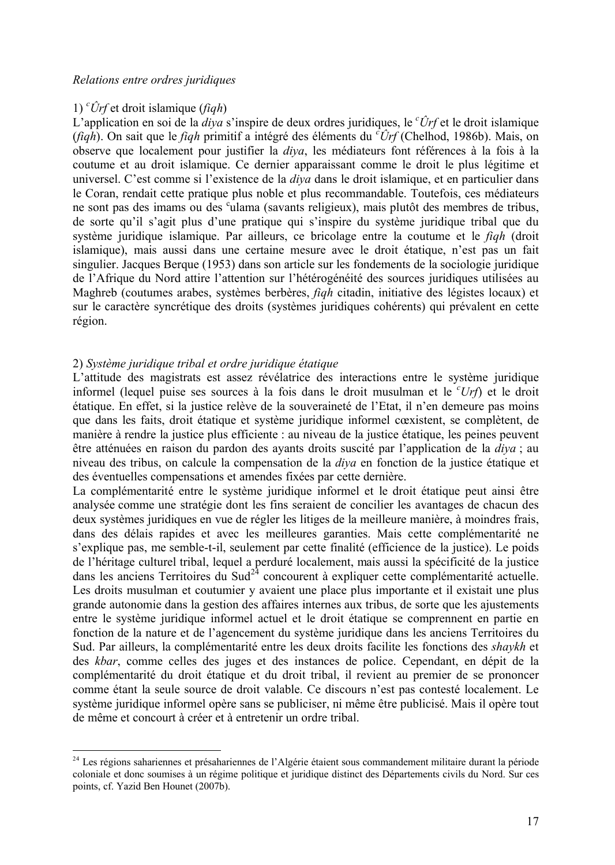# 1) *<sup>c</sup>Örf* et droit islamique (*fiqh*)

L'application en soi de la *diya* s'inspire de deux ordres juridiques, le *<sup>c</sup>Örf* et le droit islamique (*fiqh*). On sait que le *fiqh* primitif a intâgrâ des âlâments du *<sup>c</sup>Örf* (Chelhod, 1986b). Mais, on observe que localement pour justifier la *diya*, les médiateurs font références à la fois à la coutume et au droit islamique. Ce dernier apparaissant comme le droit le plus légitime et universel. C'est comme si l'existence de la *diya* dans le droit islamique, et en particulier dans le Coran, rendait cette pratique plus noble et plus recommandable. Toutefois, ces médiateurs ne sont pas des imams ou des <sup>c</sup>ulama (savants religieux), mais plutôt des membres de tribus, de sorte qu'il s'agit plus d'une pratique qui s'inspire du système juridique tribal que du système juridique islamique. Par ailleurs, ce bricolage entre la coutume et le *fiqh* (droit islamique), mais aussi dans une certaine mesure avec le droit étatique, n'est pas un fait singulier. Jacques Berque (1953) dans son article sur les fondements de la sociologie juridique de l'Afrique du Nord attire l'attention sur l'hétérogénéité des sources juridiques utilisées au Maghreb (coutumes arabes, systèmes berbères, *figh* citadin, initiative des légistes locaux) et sur le caractère syncrétique des droits (systèmes juridiques cohérents) qui prévalent en cette région.

# 2) *SystÅme juridique tribal et ordre juridique Ätatique*

L'attitude des magistrats est assez révélatrice des interactions entre le système juridique informel (lequel puise ses sources é la fois dans le droit musulman et le *<sup>c</sup>Urf*) et le droit étatique. En effet, si la justice relève de la souveraineté de l'Etat, il n'en demeure pas moins que dans les faits, droit étatique et système juridique informel cœxistent, se complètent, de manière à rendre la justice plus efficiente : au niveau de la justice étatique, les peines peuvent ètre attânuâes en raison du pardon des ayants droits suscitâ par l'application de la *diya* ; au niveau des tribus, on calcule la compensation de la *diya* en fonction de la justice âtatique et des éventuelles compensations et amendes fixées par cette dernière.

La complémentarité entre le système juridique informel et le droit étatique peut ainsi être analysâe comme une stratâgie dont les fins seraient de concilier les avantages de chacun des deux systèmes juridiques en vue de régler les litiges de la meilleure manière, à moindres frais, dans des délais rapides et avec les meilleures garanties. Mais cette complémentarité ne s'explique pas, me semble-t-il, seulement par cette finalité (efficience de la justice). Le poids de l'héritage culturel tribal, lequel a perduré localement, mais aussi la spécificité de la justice dans les anciens Territoires du Sud<sup>24</sup> concourent à expliquer cette complémentarité actuelle. Les droits musulman et coutumier y avaient une place plus importante et il existait une plus grande autonomie dans la gestion des affaires internes aux tribus, de sorte que les ajustements entre le système juridique informel actuel et le droit étatique se comprennent en partie en fonction de la nature et de l'agencement du système juridique dans les anciens Territoires du Sud. Par ailleurs, la complémentarité entre les deux droits facilite les fonctions des *shaykh* et des *kbar*, comme celles des juges et des instances de police. Cependant, en dépit de la complémentarité du droit étatique et du droit tribal, il revient au premier de se prononcer comme étant la seule source de droit valable. Ce discours n'est pas contesté localement. Le système juridique informel opère sans se publiciser, ni même être publicisé. Mais il opère tout de même et concourt à créer et à entretenir un ordre tribal.

<sup>&</sup>lt;sup>24</sup> Les régions sahariennes et présahariennes de l'Algérie étaient sous commandement militaire durant la période coloniale et donc soumises à un régime politique et juridique distinct des Départements civils du Nord. Sur ces points, cf. Yazid Ben Hounet (2007b).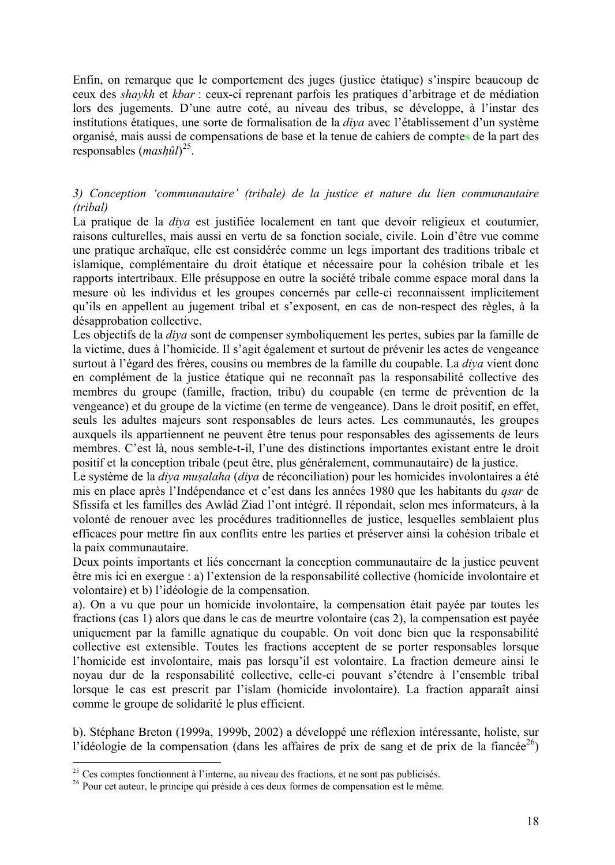Enfin, on remarque que le comportement des juges (justice âtatique) s'inspire beaucoup de ceux des *shaykh* et *kbar* : ceux-ci reprenant parfois les pratiques d'arbitrage et de médiation lors des jugements. D'une autre coté, au niveau des tribus, se développe, à l'instar des institutions étatiques, une sorte de formalisation de la *diva* avec l'établissement d'un système organisâ, mais aussi de compensations de base et la tenue de cahiers de comptes de la part des responsables (*mashûl*)<sup>25</sup>.

# *3) Conception 'communautaire' (tribale) de la justice et nature du lien communautaire (tribal)*

La pratique de la *diva* est justifiée localement en tant que devoir religieux et coutumier, raisons culturelles, mais aussi en vertu de sa fonction sociale, civile. Loin d'ètre vue comme une pratique archaîque, elle est considârâe comme un legs important des traditions tribale et islamique, complémentaire du droit étatique et nécessaire pour la cohésion tribale et les rapports intertribaux. Elle présuppose en outre la société tribale comme espace moral dans la mesure où les individus et les groupes concernés par celle-ci reconnaissent implicitement qu'ils en appellent au jugement tribal et s'exposent, en cas de non-respect des règles, à la désapprobation collective.

Les objectifs de la *diya* sont de compenser symboliquement les pertes, subies par la famille de la victime, dues à l'homicide. Il s'agit également et surtout de prévenir les actes de vengeance surtout à l'égard des frères, cousins ou membres de la famille du coupable. La *diya* vient donc en complément de la justice étatique qui ne reconnaît pas la responsabilité collective des membres du groupe (famille, fraction, tribu) du coupable (en terme de prévention de la vengeance) et du groupe de la victime (en terme de vengeance). Dans le droit positif, en effet, seuls les adultes majeurs sont responsables de leurs actes. Les communautés, les groupes auxquels ils appartiennent ne peuvent ètre tenus pour responsables des agissements de leurs membres. C'est lé, nous semble-t-il, l'une des distinctions importantes existant entre le droit positif et la conception tribale (peut ètre, plus gânâralement, communautaire) de la justice.

Le système de la *diya musalaha* (*diya* de réconciliation) pour les homicides involontaires a été mis en place après l'Indépendance et c'est dans les années 1980 que les habitants du *qsar* de Sfissifa et les familles des Awlâd Ziad l'ont intégré. Il répondait, selon mes informateurs, à la volonté de renouer avec les procédures traditionnelles de justice, lesquelles semblaient plus efficaces pour mettre fin aux conflits entre les parties et préserver ainsi la cohésion tribale et la paix communautaire.

Deux points importants et liés concernant la conception communautaire de la justice peuvent être mis ici en exergue : a) l'extension de la responsabilité collective (homicide involontaire et volontaire) et b) l'idéologie de la compensation.

a). On a vu que pour un homicide involontaire, la compensation était payée par toutes les fractions (cas 1) alors que dans le cas de meurtre volontaire (cas 2), la compensation est payâe uniquement par la famille agnatique du coupable. On voit donc bien que la responsabilité collective est extensible. Toutes les fractions acceptent de se porter responsables lorsque l'homicide est involontaire, mais pas lorsqu'il est volontaire. La fraction demeure ainsi le noyau dur de la responsabilité collective, celle-ci pouvant s'étendre à l'ensemble tribal lorsque le cas est prescrit par l'islam (homicide involontaire). La fraction apparaåt ainsi comme le groupe de solidarité le plus efficient.

b). Stéphane Breton (1999a, 1999b, 2002) a développé une réflexion intéressante, holiste, sur l'idéologie de la compensation (dans les affaires de prix de sang et de prix de la fiancée<sup>26</sup>)

<sup>&</sup>lt;sup>25</sup> Ces comptes fonctionnent à l'interne, au niveau des fractions, et ne sont pas publicisés.

<sup>&</sup>lt;sup>26</sup> Pour cet auteur, le principe qui préside à ces deux formes de compensation est le même.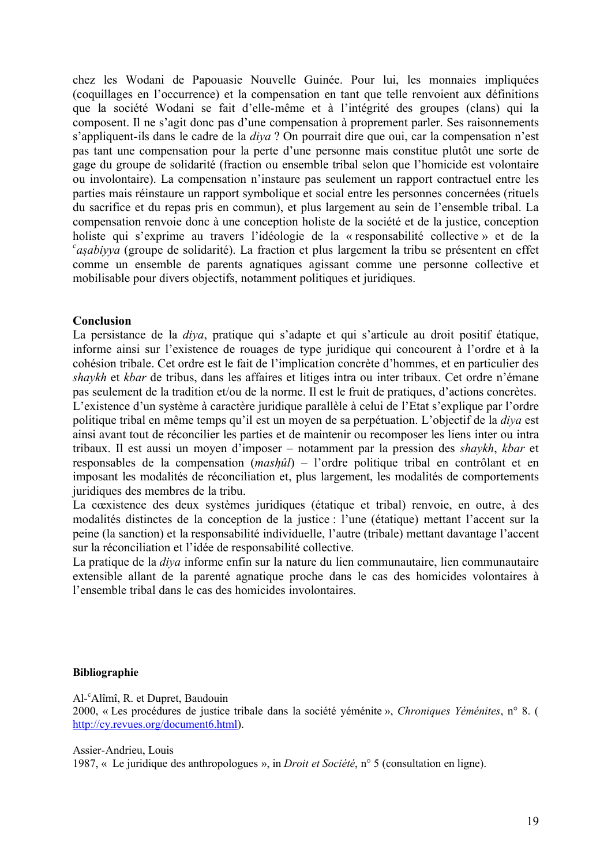chez les Wodani de Papouasie Nouvelle Guinée. Pour lui, les monnaies impliquées (coquillages en l'occurrence) et la compensation en tant que telle renvoient aux dâfinitions que la société Wodani se fait d'elle-même et à l'intégrité des groupes (clans) qui la composent. Il ne s'agit donc pas d'une compensation é proprement parler. Ses raisonnements s'appliquent-ils dans le cadre de la *diya* ? On pourrait dire que oui, car la compensation n'est pas tant une compensation pour la perte d'une personne mais constitue plutôt une sorte de gage du groupe de solidaritâ (fraction ou ensemble tribal selon que l'homicide est volontaire ou involontaire). La compensation n'instaure pas seulement un rapport contractuel entre les parties mais réinstaure un rapport symbolique et social entre les personnes concernées (rituels du sacrifice et du repas pris en commun), et plus largement au sein de l'ensemble tribal. La compensation renvoie donc à une conception holiste de la société et de la justice, conception holiste qui s'exprime au travers l'idéologie de la « responsabilité collective » et de la <sup>c</sup>asabiyya (groupe de solidarité). La fraction et plus largement la tribu se présentent en effet comme un ensemble de parents agnatiques agissant comme une personne collective et mobilisable pour divers objectifs, notamment politiques et juridiques.

# **Conclusion**

La persistance de la *diya*, pratique qui s'adapte et qui s'articule au droit positif étatique, informe ainsi sur l'existence de rouages de type juridique qui concourent é l'ordre et é la cohésion tribale. Cet ordre est le fait de l'implication concrète d'hommes, et en particulier des *shaykh* et *kbar* de tribus, dans les affaires et litiges intra ou inter tribaux. Cet ordre n'émane pas seulement de la tradition et/ou de la norme. Il est le fruit de pratiques, d'actions concrètes. L'existence d'un système à caractère juridique parallèle à celui de l'Etat s'explique par l'ordre politique tribal en mème temps qu'il est un moyen de sa perpâtuation. L'objectif de la *diya* est ainsi avant tout de réconcilier les parties et de maintenir ou recomposer les liens inter ou intra tribaux. Il est aussi un moyen d'imposer – notamment par la pression des *shaykh*, *kbar* et responsables de la compensation (*mashûl*) – l'ordre politique tribal en contrôlant et en imposant les modalités de réconciliation et, plus largement, les modalités de comportements juridiques des membres de la tribu.

La cœxistence des deux systèmes juridiques (étatique et tribal) renvoie, en outre, à des modalités distinctes de la conception de la justice : l'une (étatique) mettant l'accent sur la peine (la sanction) et la responsabilité individuelle, l'autre (tribale) mettant davantage l'accent sur la réconciliation et l'idée de responsabilité collective.

La pratique de la *diya* informe enfin sur la nature du lien communautaire, lien communautaire extensible allant de la parenté agnatique proche dans le cas des homicides volontaires à l'ensemble tribal dans le cas des homicides involontaires.

### **Bibliographie**

Al-<sup>c</sup>Alåmå, R. et Dupret, Baudouin

2000, « Les procédures de justice tribale dans la société yéménite », *Chroniques Yéménites*, n° 8. ( http://cy.revues.org/document6.html).

Assier-Andrieu, Louis 1987, « Le juridique des anthropologues », in *Droit et Société*, n° 5 (consultation en ligne).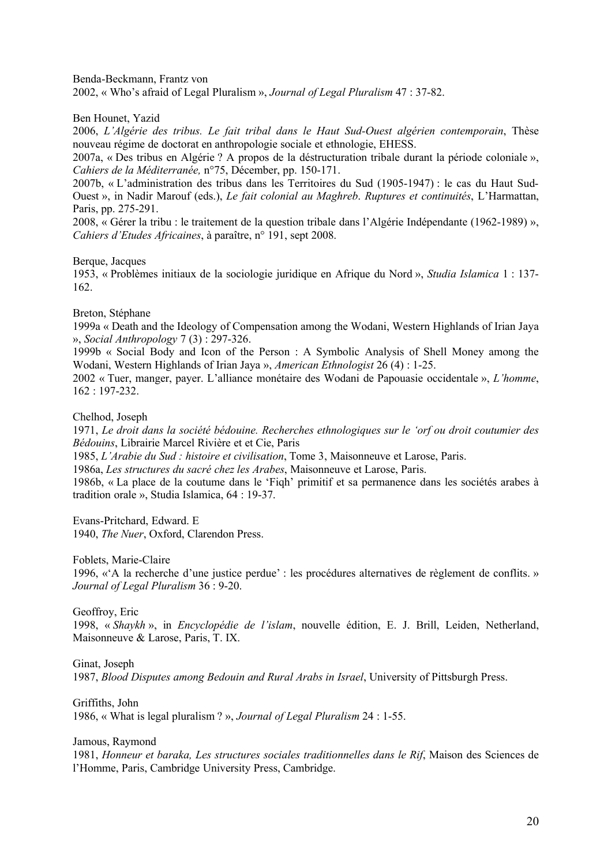Benda-Beckmann, Frantz von

2002, « Who's afraid of Legal Pluralism », *Journal of Legal Pluralism* 47 : 37-82.

Ben Hounet, Yazid

2006, *L'Algérie des tribus. Le fait tribal dans le Haut Sud-Ouest algérien contemporain*, Thèse nouveau régime de doctorat en anthropologie sociale et ethnologie, EHESS.

2007a, « Des tribus en Algérie ? A propos de la déstructuration tribale durant la période coloniale », *Cahiers de la Méditerranée*, n°75, Décember, pp. 150-171.

2007b, Å L'administration des tribus dans les Territoires du Sud (1905-1947) : le cas du Haut Sud-Ouest », in Nadir Marouf (eds.), *Le fait colonial au Maghreb. Ruptures et continuités*, L'Harmattan, Paris, pp. 275-291.

2008, « Gérer la tribu : le traitement de la question tribale dans l'Algérie Indépendante (1962-1989) ». *Cahiers d'Etudes Africaines*, à paraître, n° 191, sept 2008.

Berque, Jacques

1953, « Problèmes initiaux de la sociologie juridique en Afrique du Nord », *Studia Islamica* 1 : 137-162.

Breton, Stéphane

1999a Å Death and the Ideology of Compensation among the Wodani, Western Highlands of Irian Jaya É, *Social Anthropology* 7 (3) : 297-326.

1999b Å Social Body and Icon of the Person : A Symbolic Analysis of Shell Money among the Wodani, Western Highlands of Irian Jaya », *American Ethnologist* 26 (4) : 1-25.

2002 Å Tuer, manger, payer. L'alliance monâtaire des Wodani de Papouasie occidentale É, *L'homme*, 162 : 197-232.

Chelhod, Joseph

1971, *Le droit dans la société bédouine. Recherches ethnologiques sur le 'orf ou droit coutumier des Bédouins*, Librairie Marcel Rivière et et Cie, Paris

1985, *L'Arabie du Sud : histoire et civilisation*, Tome 3, Maisonneuve et Larose, Paris.

1986a, *Les structures du sacré chez les Arabes*, Maisonneuve et Larose, Paris.

1986b, « La place de la coutume dans le 'Fiqh' primitif et sa permanence dans les sociétés arabes à tradition orale », Studia Islamica, 64 : 19-37.

Evans-Pritchard, Edward. E 1940, *The Nuer*, Oxford, Clarendon Press.

Foblets, Marie-Claire

1996, « $\AA$  la recherche d'une justice perdue' : les procédures alternatives de règlement de conflits. » *Journal of Legal Pluralism* 36 : 9-20.

Geoffroy, Eric

1998, « Shaykh », in *Encyclopédie de l'islam*, nouvelle édition, E. J. Brill, Leiden, Netherland, Maisonneuve & Larose, Paris, T. IX.

Ginat, Joseph 1987, *Blood Disputes among Bedouin and Rural Arabs in Israel*, University of Pittsburgh Press.

Griffiths, John 1986, « What is legal pluralism ? », *Journal of Legal Pluralism* 24 : 1-55.

Jamous, Raymond

1981, *Honneur et baraka, Les structures sociales traditionnelles dans le Rif*, Maison des Sciences de l'Homme, Paris, Cambridge University Press, Cambridge.